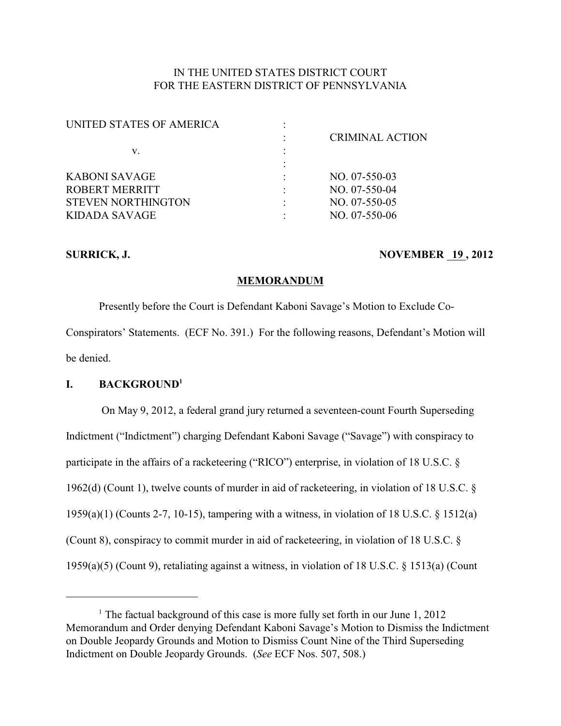# IN THE UNITED STATES DISTRICT COURT FOR THE EASTERN DISTRICT OF PENNSYLVANIA

| UNITED STATES OF AMERICA  |                        |
|---------------------------|------------------------|
|                           | <b>CRIMINAL ACTION</b> |
| v.                        |                        |
|                           |                        |
| KABONI SAVAGE             | $NO. 07-550-03$        |
| ROBERT MERRITT            | $NO. 07-550-04$        |
| <b>STEVEN NORTHINGTON</b> | $NO. 07-550-05$        |
| KIDADA SAVAGE             | NO. 07-550-06          |
|                           |                        |

## **SURRICK, J. NOVEMBER 19, 2012**

## **MEMORANDUM**

Presently before the Court is Defendant Kaboni Savage's Motion to Exclude Co-Conspirators' Statements. (ECF No. 391.) For the following reasons, Defendant's Motion will be denied.

## **I. BACKGROUND<sup>1</sup>**

 On May 9, 2012, a federal grand jury returned a seventeen-count Fourth Superseding Indictment ("Indictment") charging Defendant Kaboni Savage ("Savage") with conspiracy to participate in the affairs of a racketeering ("RICO") enterprise, in violation of 18 U.S.C. § 1962(d) (Count 1), twelve counts of murder in aid of racketeering, in violation of 18 U.S.C. § 1959(a)(1) (Counts 2-7, 10-15), tampering with a witness, in violation of 18 U.S.C. § 1512(a) (Count 8), conspiracy to commit murder in aid of racketeering, in violation of 18 U.S.C. § 1959(a)(5) (Count 9), retaliating against a witness, in violation of 18 U.S.C. § 1513(a) (Count

<sup>&</sup>lt;sup>1</sup> The factual background of this case is more fully set forth in our June  $1, 2012$ Memorandum and Order denying Defendant Kaboni Savage's Motion to Dismiss the Indictment on Double Jeopardy Grounds and Motion to Dismiss Count Nine of the Third Superseding Indictment on Double Jeopardy Grounds. (*See* ECF Nos. 507, 508.)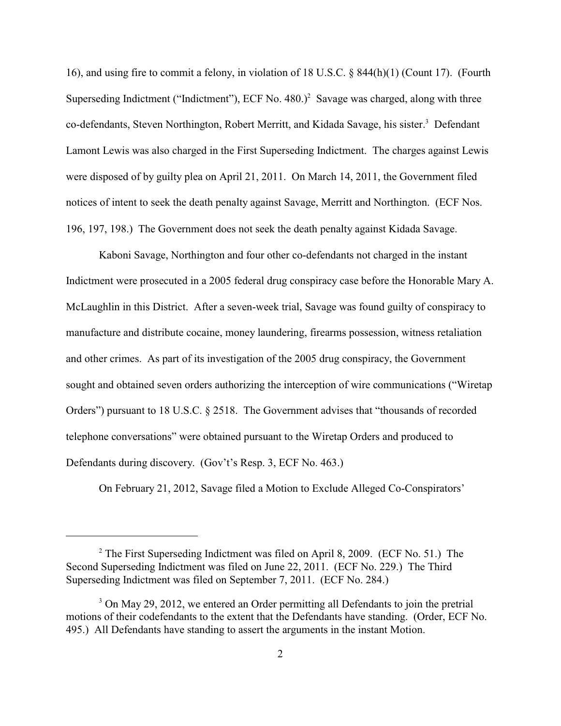16), and using fire to commit a felony, in violation of 18 U.S.C. § 844(h)(1) (Count 17). (Fourth Superseding Indictment ("Indictment"), ECF No.  $480.$ )<sup>2</sup> Savage was charged, along with three co-defendants, Steven Northington, Robert Merritt, and Kidada Savage, his sister.<sup>3</sup> Defendant Lamont Lewis was also charged in the First Superseding Indictment. The charges against Lewis were disposed of by guilty plea on April 21, 2011. On March 14, 2011, the Government filed notices of intent to seek the death penalty against Savage, Merritt and Northington. (ECF Nos. 196, 197, 198.) The Government does not seek the death penalty against Kidada Savage.

Kaboni Savage, Northington and four other co-defendants not charged in the instant Indictment were prosecuted in a 2005 federal drug conspiracy case before the Honorable Mary A. McLaughlin in this District. After a seven-week trial, Savage was found guilty of conspiracy to manufacture and distribute cocaine, money laundering, firearms possession, witness retaliation and other crimes. As part of its investigation of the 2005 drug conspiracy, the Government sought and obtained seven orders authorizing the interception of wire communications ("Wiretap Orders") pursuant to 18 U.S.C. § 2518. The Government advises that "thousands of recorded telephone conversations" were obtained pursuant to the Wiretap Orders and produced to Defendants during discovery. (Gov't's Resp. 3, ECF No. 463.)

On February 21, 2012, Savage filed a Motion to Exclude Alleged Co-Conspirators'

 $2$  The First Superseding Indictment was filed on April 8, 2009. (ECF No. 51.) The Second Superseding Indictment was filed on June 22, 2011. (ECF No. 229.) The Third Superseding Indictment was filed on September 7, 2011. (ECF No. 284.)

<sup>&</sup>lt;sup>3</sup> On May 29, 2012, we entered an Order permitting all Defendants to join the pretrial motions of their codefendants to the extent that the Defendants have standing. (Order, ECF No. 495.) All Defendants have standing to assert the arguments in the instant Motion.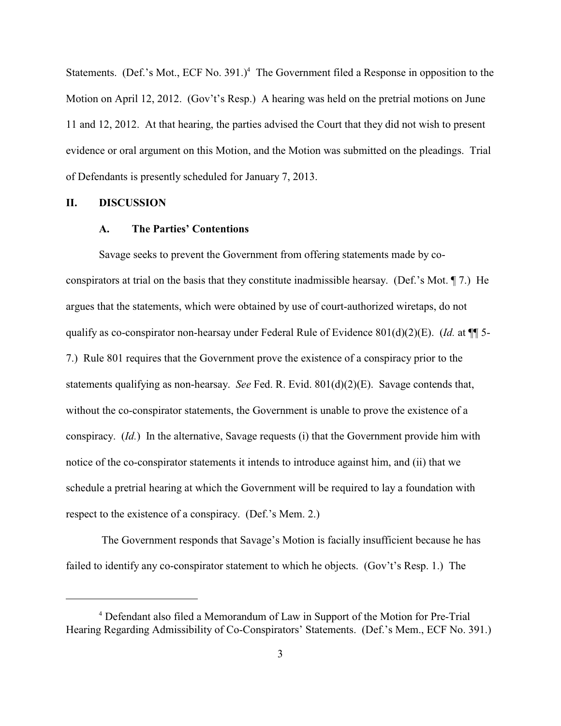Statements. (Def.'s Mot., ECF No. 391.)<sup>4</sup> The Government filed a Response in opposition to the Motion on April 12, 2012. (Gov't's Resp.) A hearing was held on the pretrial motions on June 11 and 12, 2012. At that hearing, the parties advised the Court that they did not wish to present evidence or oral argument on this Motion, and the Motion was submitted on the pleadings. Trial of Defendants is presently scheduled for January 7, 2013.

#### **II. DISCUSSION**

## **A. The Parties' Contentions**

Savage seeks to prevent the Government from offering statements made by coconspirators at trial on the basis that they constitute inadmissible hearsay. (Def.'s Mot. ¶ 7.) He argues that the statements, which were obtained by use of court-authorized wiretaps, do not qualify as co-conspirator non-hearsay under Federal Rule of Evidence 801(d)(2)(E). (*Id.* at ¶¶ 5- 7.) Rule 801 requires that the Government prove the existence of a conspiracy prior to the statements qualifying as non-hearsay. *See* Fed. R. Evid. 801(d)(2)(E). Savage contends that, without the co-conspirator statements, the Government is unable to prove the existence of a conspiracy. (*Id.*) In the alternative, Savage requests (i) that the Government provide him with notice of the co-conspirator statements it intends to introduce against him, and (ii) that we schedule a pretrial hearing at which the Government will be required to lay a foundation with respect to the existence of a conspiracy. (Def.'s Mem. 2.)

 The Government responds that Savage's Motion is facially insufficient because he has failed to identify any co-conspirator statement to which he objects. (Gov't's Resp. 1.) The

<sup>&</sup>lt;sup>4</sup> Defendant also filed a Memorandum of Law in Support of the Motion for Pre-Trial Hearing Regarding Admissibility of Co-Conspirators' Statements. (Def.'s Mem., ECF No. 391.)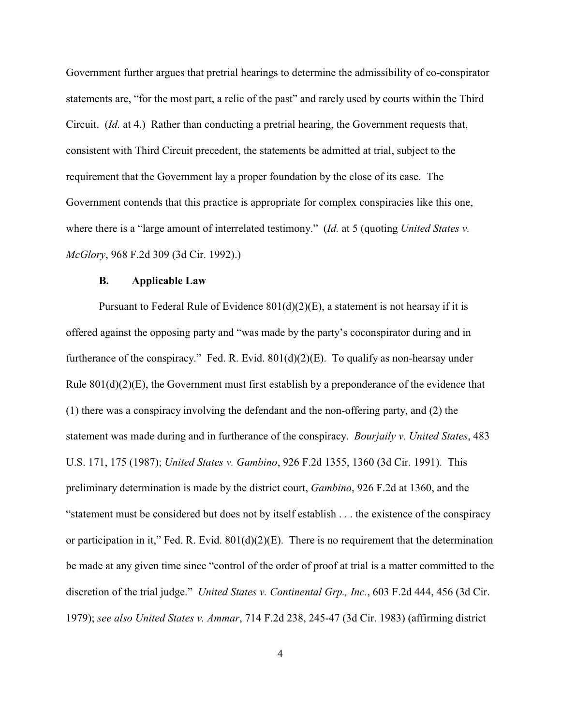Government further argues that pretrial hearings to determine the admissibility of co-conspirator statements are, "for the most part, a relic of the past" and rarely used by courts within the Third Circuit. (*Id.* at 4.) Rather than conducting a pretrial hearing, the Government requests that, consistent with Third Circuit precedent, the statements be admitted at trial, subject to the requirement that the Government lay a proper foundation by the close of its case. The Government contends that this practice is appropriate for complex conspiracies like this one, where there is a "large amount of interrelated testimony." (*Id.* at 5 (quoting *United States v. McGlory*, 968 F.2d 309 (3d Cir. 1992).)

#### **B. Applicable Law**

Pursuant to Federal Rule of Evidence  $801(d)(2)(E)$ , a statement is not hearsay if it is offered against the opposing party and "was made by the party's coconspirator during and in furtherance of the conspiracy." Fed. R. Evid.  $801(d)(2)(E)$ . To qualify as non-hearsay under Rule  $801(d)(2)(E)$ , the Government must first establish by a preponderance of the evidence that (1) there was a conspiracy involving the defendant and the non-offering party, and (2) the statement was made during and in furtherance of the conspiracy. *Bourjaily v. United States*, 483 U.S. 171, 175 (1987); *United States v. Gambino*, 926 F.2d 1355, 1360 (3d Cir. 1991). This preliminary determination is made by the district court, *Gambino*, 926 F.2d at 1360, and the "statement must be considered but does not by itself establish . . . the existence of the conspiracy or participation in it," Fed. R. Evid. 801(d)(2)(E). There is no requirement that the determination be made at any given time since "control of the order of proof at trial is a matter committed to the discretion of the trial judge." *United States v. Continental Grp., Inc.*, 603 F.2d 444, 456 (3d Cir. 1979); *see also United States v. Ammar*, 714 F.2d 238, 245-47 (3d Cir. 1983) (affirming district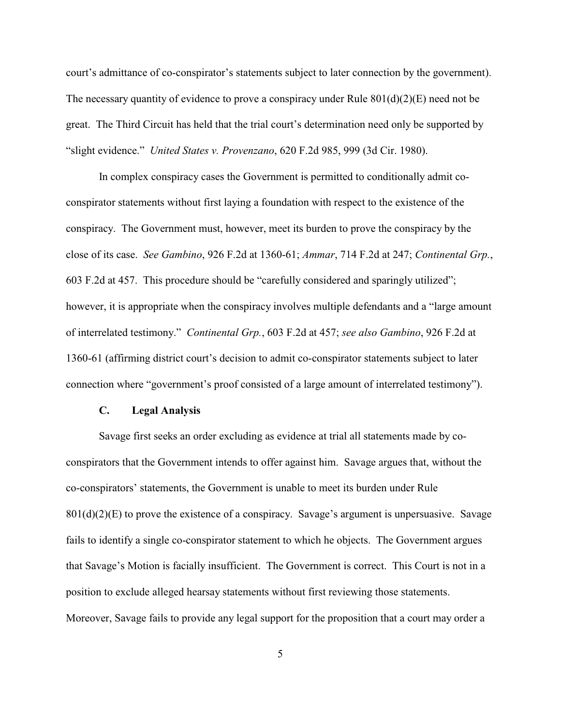court's admittance of co-conspirator's statements subject to later connection by the government). The necessary quantity of evidence to prove a conspiracy under Rule  $801(d)(2)(E)$  need not be great. The Third Circuit has held that the trial court's determination need only be supported by "slight evidence." *United States v. Provenzano*, 620 F.2d 985, 999 (3d Cir. 1980).

In complex conspiracy cases the Government is permitted to conditionally admit coconspirator statements without first laying a foundation with respect to the existence of the conspiracy. The Government must, however, meet its burden to prove the conspiracy by the close of its case. *See Gambino*, 926 F.2d at 1360-61; *Ammar*, 714 F.2d at 247; *Continental Grp.*, 603 F.2d at 457. This procedure should be "carefully considered and sparingly utilized"; however, it is appropriate when the conspiracy involves multiple defendants and a "large amount of interrelated testimony." *Continental Grp.*, 603 F.2d at 457; *see also Gambino*, 926 F.2d at 1360-61 (affirming district court's decision to admit co-conspirator statements subject to later connection where "government's proof consisted of a large amount of interrelated testimony").

## **C. Legal Analysis**

Savage first seeks an order excluding as evidence at trial all statements made by coconspirators that the Government intends to offer against him. Savage argues that, without the co-conspirators' statements, the Government is unable to meet its burden under Rule  $801(d)(2)(E)$  to prove the existence of a conspiracy. Savage's argument is unpersuasive. Savage fails to identify a single co-conspirator statement to which he objects. The Government argues that Savage's Motion is facially insufficient. The Government is correct. This Court is not in a position to exclude alleged hearsay statements without first reviewing those statements. Moreover, Savage fails to provide any legal support for the proposition that a court may order a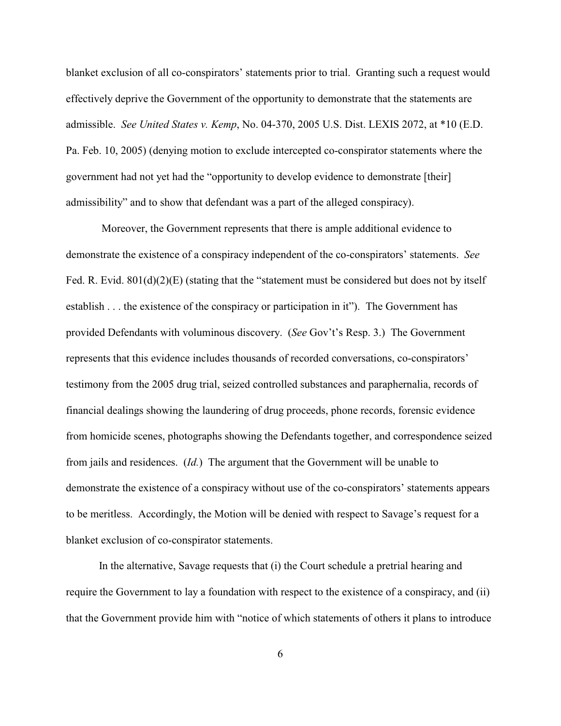blanket exclusion of all co-conspirators' statements prior to trial. Granting such a request would effectively deprive the Government of the opportunity to demonstrate that the statements are admissible. *See United States v. Kemp*, No. 04-370, 2005 U.S. Dist. LEXIS 2072, at \*10 (E.D. Pa. Feb. 10, 2005) (denying motion to exclude intercepted co-conspirator statements where the government had not yet had the "opportunity to develop evidence to demonstrate [their] admissibility" and to show that defendant was a part of the alleged conspiracy).

 Moreover, the Government represents that there is ample additional evidence to demonstrate the existence of a conspiracy independent of the co-conspirators' statements. *See* Fed. R. Evid. 801(d)(2)(E) (stating that the "statement must be considered but does not by itself establish . . . the existence of the conspiracy or participation in it"). The Government has provided Defendants with voluminous discovery. (*See* Gov't's Resp. 3.) The Government represents that this evidence includes thousands of recorded conversations, co-conspirators' testimony from the 2005 drug trial, seized controlled substances and paraphernalia, records of financial dealings showing the laundering of drug proceeds, phone records, forensic evidence from homicide scenes, photographs showing the Defendants together, and correspondence seized from jails and residences. (*Id.*) The argument that the Government will be unable to demonstrate the existence of a conspiracy without use of the co-conspirators' statements appears to be meritless. Accordingly, the Motion will be denied with respect to Savage's request for a blanket exclusion of co-conspirator statements.

In the alternative, Savage requests that (i) the Court schedule a pretrial hearing and require the Government to lay a foundation with respect to the existence of a conspiracy, and (ii) that the Government provide him with "notice of which statements of others it plans to introduce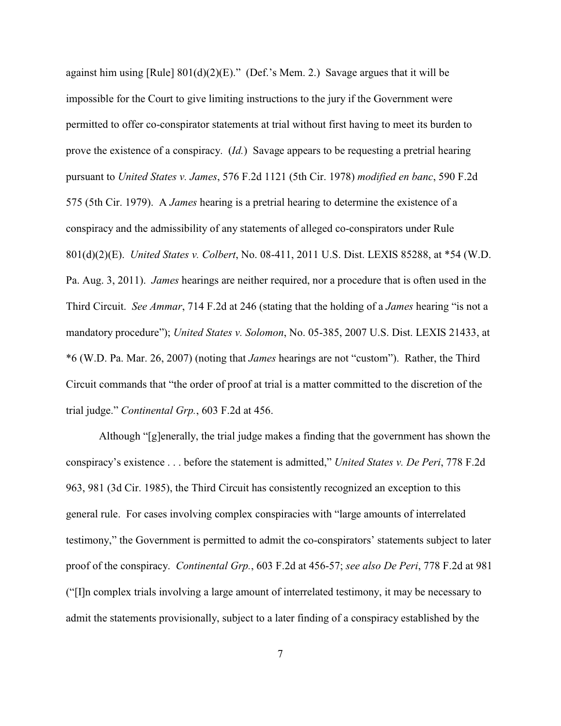against him using [Rule]  $801(d)(2)(E)$ ." (Def.'s Mem. 2.) Savage argues that it will be impossible for the Court to give limiting instructions to the jury if the Government were permitted to offer co-conspirator statements at trial without first having to meet its burden to prove the existence of a conspiracy. (*Id.*) Savage appears to be requesting a pretrial hearing pursuant to *United States v. James*, 576 F.2d 1121 (5th Cir. 1978) *modified en banc*, 590 F.2d 575 (5th Cir. 1979). A *James* hearing is a pretrial hearing to determine the existence of a conspiracy and the admissibility of any statements of alleged co-conspirators under Rule 801(d)(2)(E). *United States v. Colbert*, No. 08-411, 2011 U.S. Dist. LEXIS 85288, at \*54 (W.D. Pa. Aug. 3, 2011). *James* hearings are neither required, nor a procedure that is often used in the Third Circuit. *See Ammar*, 714 F.2d at 246 (stating that the holding of a *James* hearing "is not a mandatory procedure"); *United States v. Solomon*, No. 05-385, 2007 U.S. Dist. LEXIS 21433, at \*6 (W.D. Pa. Mar. 26, 2007) (noting that *James* hearings are not "custom"). Rather, the Third Circuit commands that "the order of proof at trial is a matter committed to the discretion of the trial judge." *Continental Grp.*, 603 F.2d at 456.

Although "[g]enerally, the trial judge makes a finding that the government has shown the conspiracy's existence . . . before the statement is admitted," *United States v. De Peri*, 778 F.2d 963, 981 (3d Cir. 1985), the Third Circuit has consistently recognized an exception to this general rule. For cases involving complex conspiracies with "large amounts of interrelated testimony," the Government is permitted to admit the co-conspirators' statements subject to later proof of the conspiracy. *Continental Grp.*, 603 F.2d at 456-57; *see also De Peri*, 778 F.2d at 981 ("[I]n complex trials involving a large amount of interrelated testimony, it may be necessary to admit the statements provisionally, subject to a later finding of a conspiracy established by the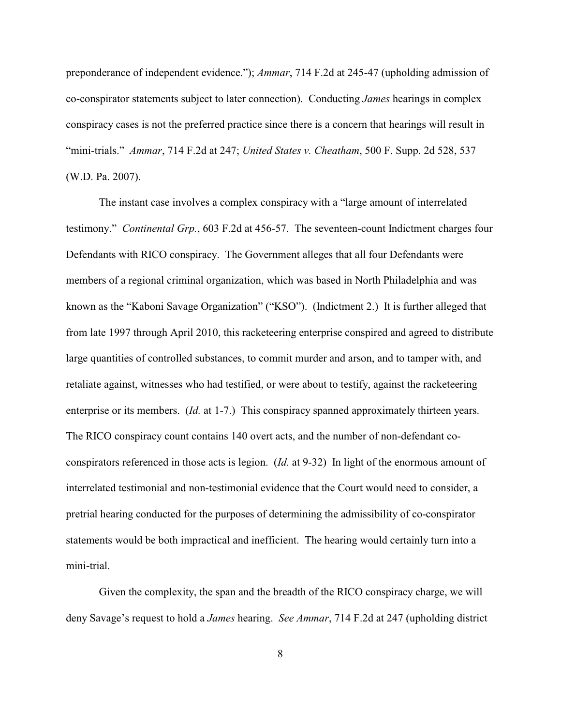preponderance of independent evidence."); *Ammar*, 714 F.2d at 245-47 (upholding admission of co-conspirator statements subject to later connection). Conducting *James* hearings in complex conspiracy cases is not the preferred practice since there is a concern that hearings will result in "mini-trials." *Ammar*, 714 F.2d at 247; *United States v. Cheatham*, 500 F. Supp. 2d 528, 537 (W.D. Pa. 2007).

The instant case involves a complex conspiracy with a "large amount of interrelated testimony." *Continental Grp.*, 603 F.2d at 456-57. The seventeen-count Indictment charges four Defendants with RICO conspiracy. The Government alleges that all four Defendants were members of a regional criminal organization, which was based in North Philadelphia and was known as the "Kaboni Savage Organization" ("KSO"). (Indictment 2.) It is further alleged that from late 1997 through April 2010, this racketeering enterprise conspired and agreed to distribute large quantities of controlled substances, to commit murder and arson, and to tamper with, and retaliate against, witnesses who had testified, or were about to testify, against the racketeering enterprise or its members. (*Id.* at 1-7.) This conspiracy spanned approximately thirteen years. The RICO conspiracy count contains 140 overt acts, and the number of non-defendant coconspirators referenced in those acts is legion. (*Id.* at 9-32) In light of the enormous amount of interrelated testimonial and non-testimonial evidence that the Court would need to consider, a pretrial hearing conducted for the purposes of determining the admissibility of co-conspirator statements would be both impractical and inefficient. The hearing would certainly turn into a mini-trial.

Given the complexity, the span and the breadth of the RICO conspiracy charge, we will deny Savage's request to hold a *James* hearing. *See Ammar*, 714 F.2d at 247 (upholding district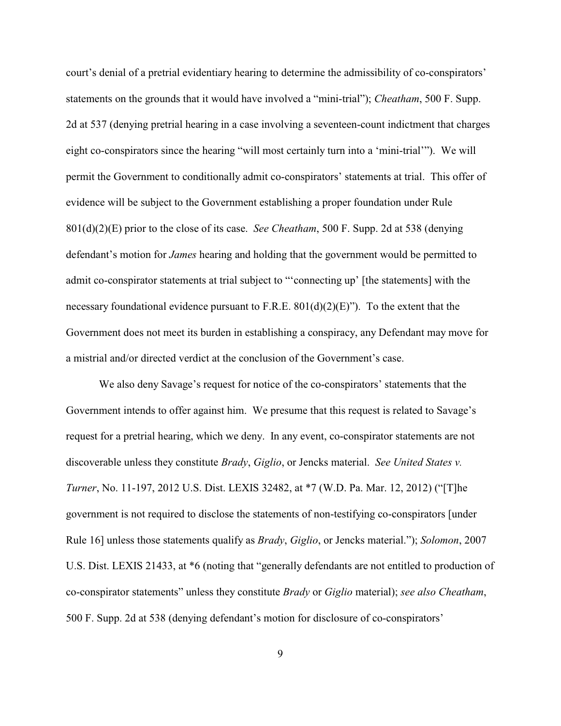court's denial of a pretrial evidentiary hearing to determine the admissibility of co-conspirators' statements on the grounds that it would have involved a "mini-trial"); *Cheatham*, 500 F. Supp. 2d at 537 (denying pretrial hearing in a case involving a seventeen-count indictment that charges eight co-conspirators since the hearing "will most certainly turn into a 'mini-trial'"). We will permit the Government to conditionally admit co-conspirators' statements at trial. This offer of evidence will be subject to the Government establishing a proper foundation under Rule 801(d)(2)(E) prior to the close of its case. *See Cheatham*, 500 F. Supp. 2d at 538 (denying defendant's motion for *James* hearing and holding that the government would be permitted to admit co-conspirator statements at trial subject to "'connecting up' [the statements] with the necessary foundational evidence pursuant to F.R.E.  $801(d)(2)(E)$ "). To the extent that the Government does not meet its burden in establishing a conspiracy, any Defendant may move for a mistrial and/or directed verdict at the conclusion of the Government's case.

We also deny Savage's request for notice of the co-conspirators' statements that the Government intends to offer against him. We presume that this request is related to Savage's request for a pretrial hearing, which we deny. In any event, co-conspirator statements are not discoverable unless they constitute *Brady*, *Giglio*, or Jencks material. *See United States v. Turner*, No. 11-197, 2012 U.S. Dist. LEXIS 32482, at \*7 (W.D. Pa. Mar. 12, 2012) ("[T]he government is not required to disclose the statements of non-testifying co-conspirators [under Rule 16] unless those statements qualify as *Brady*, *Giglio*, or Jencks material."); *Solomon*, 2007 U.S. Dist. LEXIS 21433, at \*6 (noting that "generally defendants are not entitled to production of co-conspirator statements" unless they constitute *Brady* or *Giglio* material); *see also Cheatham*, 500 F. Supp. 2d at 538 (denying defendant's motion for disclosure of co-conspirators'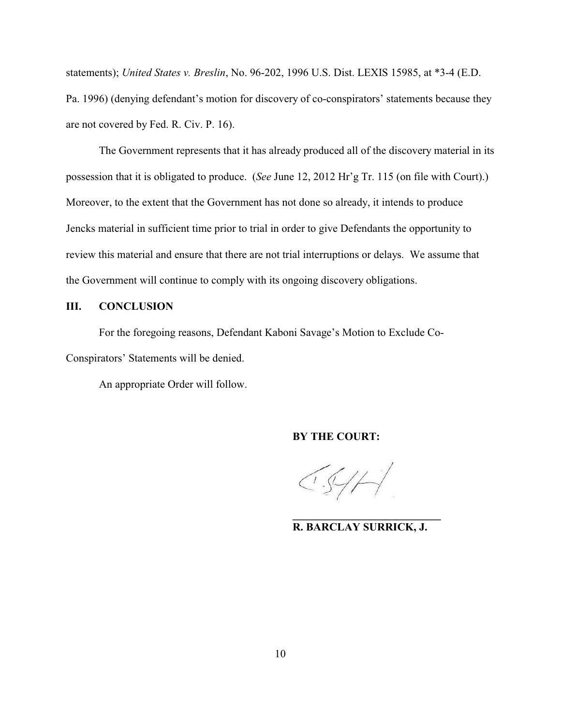statements); *United States v. Breslin*, No. 96-202, 1996 U.S. Dist. LEXIS 15985, at \*3-4 (E.D. Pa. 1996) (denying defendant's motion for discovery of co-conspirators' statements because they are not covered by Fed. R. Civ. P. 16).

The Government represents that it has already produced all of the discovery material in its possession that it is obligated to produce. (*See* June 12, 2012 Hr'g Tr. 115 (on file with Court).) Moreover, to the extent that the Government has not done so already, it intends to produce Jencks material in sufficient time prior to trial in order to give Defendants the opportunity to review this material and ensure that there are not trial interruptions or delays. We assume that the Government will continue to comply with its ongoing discovery obligations.

### **III. CONCLUSION**

For the foregoing reasons, Defendant Kaboni Savage's Motion to Exclude Co-Conspirators' Statements will be denied.

An appropriate Order will follow.

**BY THE COURT:**

 $\left(\sqrt{2} + \frac{1}{2}\right)$ 

**R. BARCLAY SURRICK, J.**

**\_\_\_\_\_\_\_\_\_\_\_\_\_\_\_\_\_\_\_\_\_\_\_\_\_\_\_**